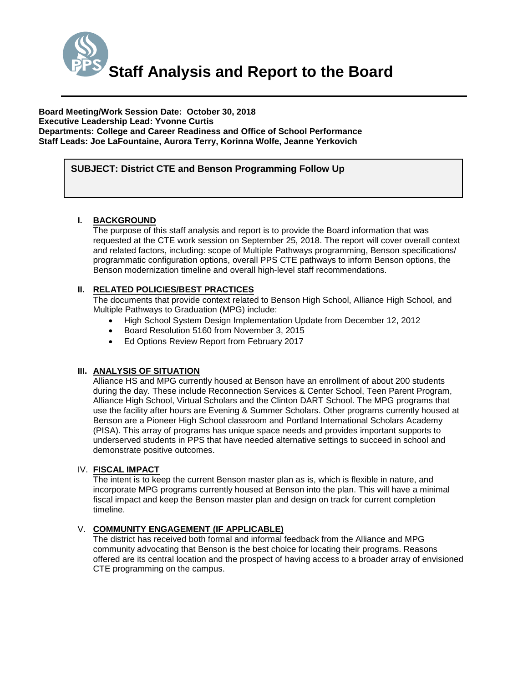

**Board Meeting/Work Session Date: October 30, 2018 Executive Leadership Lead: Yvonne Curtis Departments: College and Career Readiness and Office of School Performance Staff Leads: Joe LaFountaine, Aurora Terry, Korinna Wolfe, Jeanne Yerkovich** 

# *(Use this section to briefly explain the item—2-3 sentences)* **SUBJECT: District CTE and Benson Programming Follow Up**

### **I. BACKGROUND**

The purpose of this staff analysis and report is to provide the Board information that was requested at the CTE work session on September 25, 2018. The report will cover overall context and related factors, including: scope of Multiple Pathways programming, Benson specifications/ programmatic configuration options, overall PPS CTE pathways to inform Benson options, the Benson modernization timeline and overall high-level staff recommendations.

### **II. RELATED POLICIES/BEST PRACTICES**

The documents that provide context related to Benson High School, Alliance High School, and Multiple Pathways to Graduation (MPG) include:

- High School System Design Implementation Update from December 12, 2012
- Board Resolution 5160 from November 3, 2015
- Ed Options Review Report from February 2017

#### **III. ANALYSIS OF SITUATION**

Alliance HS and MPG currently housed at Benson have an enrollment of about 200 students during the day. These include Reconnection Services & Center School, Teen Parent Program, Alliance High School, Virtual Scholars and the Clinton DART School. The MPG programs that use the facility after hours are Evening & Summer Scholars. Other programs currently housed at Benson are a Pioneer High School classroom and Portland International Scholars Academy (PISA). This array of programs has unique space needs and provides important supports to underserved students in PPS that have needed alternative settings to succeed in school and demonstrate positive outcomes.

#### IV. **FISCAL IMPACT**

The intent is to keep the current Benson master plan as is, which is flexible in nature, and incorporate MPG programs currently housed at Benson into the plan. This will have a minimal fiscal impact and keep the Benson master plan and design on track for current completion timeline.

### V. **COMMUNITY ENGAGEMENT (IF APPLICABLE)**

The district has received both formal and informal feedback from the Alliance and MPG community advocating that Benson is the best choice for locating their programs. Reasons offered are its central location and the prospect of having access to a broader array of envisioned CTE programming on the campus.